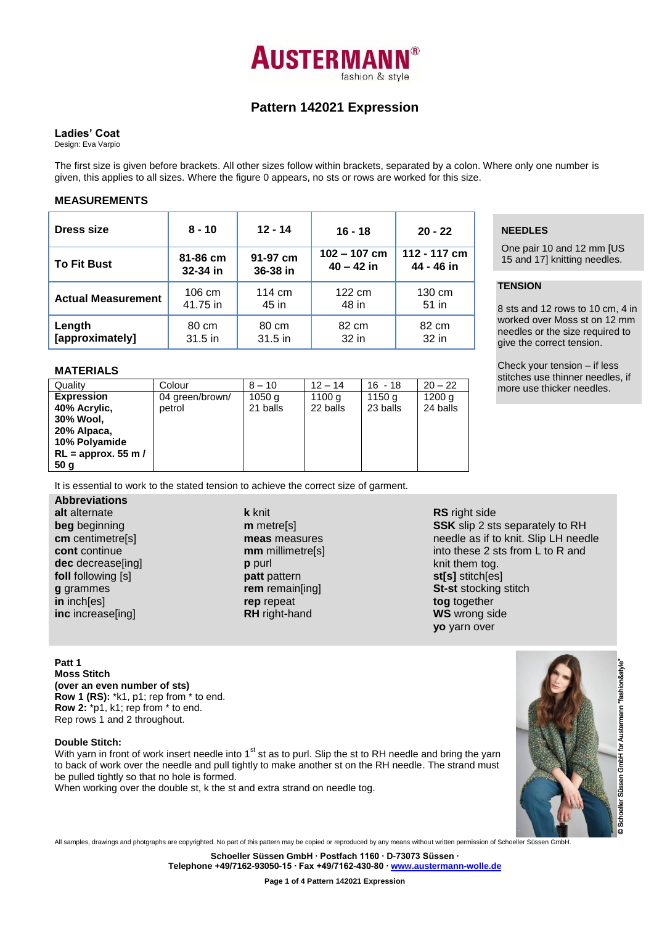

# **Pattern 142021 Expression**

# **Ladies' Coat**

Design: Eva Varpio

The first size is given before brackets. All other sizes follow within brackets, separated by a colon. Where only one number is given, this applies to all sizes. Where the figure 0 appears, no sts or rows are worked for this size.

#### **MEASUREMENTS**

| Dress size                | $8 - 10$ | $12 - 14$ | $16 - 18$        | $20 - 22$    |  |
|---------------------------|----------|-----------|------------------|--------------|--|
| <b>To Fit Bust</b>        | 81-86 cm | 91-97 cm  | $102 - 107$ cm   | 112 - 117 cm |  |
|                           | 32-34 in | 36-38 in  | $40 - 42$ in     | 44 - 46 in   |  |
| <b>Actual Measurement</b> | 106 cm   | 114 cm    | $122 \text{ cm}$ | 130 cm       |  |
|                           | 41.75 in | 45 in     | 48 in            | 51 in        |  |
| Length                    | 80 cm    | 80 cm     | 82 cm            | 82 cm        |  |
| [approximately]           | 31.5 in  | 31.5 in   | 32 in            | 32 in        |  |

#### **MATERIALS**

| Quality               | Colour          | $8 - 10$ | $12 - 14$ | $16 - 18$ | $20 - 22$ |
|-----------------------|-----------------|----------|-----------|-----------|-----------|
| <b>Expression</b>     | 04 green/brown/ | 1050 g   | 1100 g    | 1150 g    | 1200q     |
| 40% Acrylic,          | petrol          | 21 balls | 22 balls  | 23 balls  | 24 balls  |
| 30% Wool,             |                 |          |           |           |           |
| 20% Alpaca,           |                 |          |           |           |           |
| 10% Polyamide         |                 |          |           |           |           |
| $RL =$ approx. 55 m / |                 |          |           |           |           |
| 50 <sub>g</sub>       |                 |          |           |           |           |

It is essential to work to the stated tension to achieve the correct size of garment.

**Abbreviations alt** alternate **beg** beginning **cm** centimetre[s] **cont** continue **dec** decrease[ing] **foll** following [s] **g** grammes **in** inch[es] **inc** increase[ing]

**k** knit **m** metre[s] **meas** measures **mm** millimetre[s] **p** purl **patt** pattern **rem** remain[ing] **rep** repeat **RH** right-hand

# **NEEDLES**

One pair 10 and 12 mm [US 15 and 17] knitting needles.

# **TENSION**

8 sts and 12 rows to 10 cm, 4 in worked over Moss st on 12 mm needles or the size required to give the correct tension.

Check your tension – if less stitches use thinner needles, if more use thicker needles.

# **RS** right side **SSK** slip 2 sts separately to RH needle as if to knit. Slip LH needle into these 2 sts from L to R and knit them tog. **st[s]** stitch[es] **St-st** stocking stitch **tog** together **WS** wrong side **yo** yarn over

**Patt 1 Moss Stitch (over an even number of sts) Row 1 (RS):** \*k1, p1; rep from \* to end. **Row 2:** \*p1, k1; rep from \* to end. Rep rows 1 and 2 throughout.

# **Double Stitch:**

With yarn in front of work insert needle into 1<sup>st</sup> st as to purl. Slip the st to RH needle and bring the yarn to back of work over the needle and pull tightly to make another st on the RH needle. The strand must be pulled tightly so that no hole is formed.

When working over the double st, k the st and extra strand on needle tog.



**Schoeller Süssen GmbH ∙ Postfach 1160 ∙ D-73073 Süssen ∙**

**Telephone +49/7162-93050-15 ∙ Fax +49/7162-430-80 ∙ [www.austermann-wolle.de](http://www.austermann-wolle.de/)**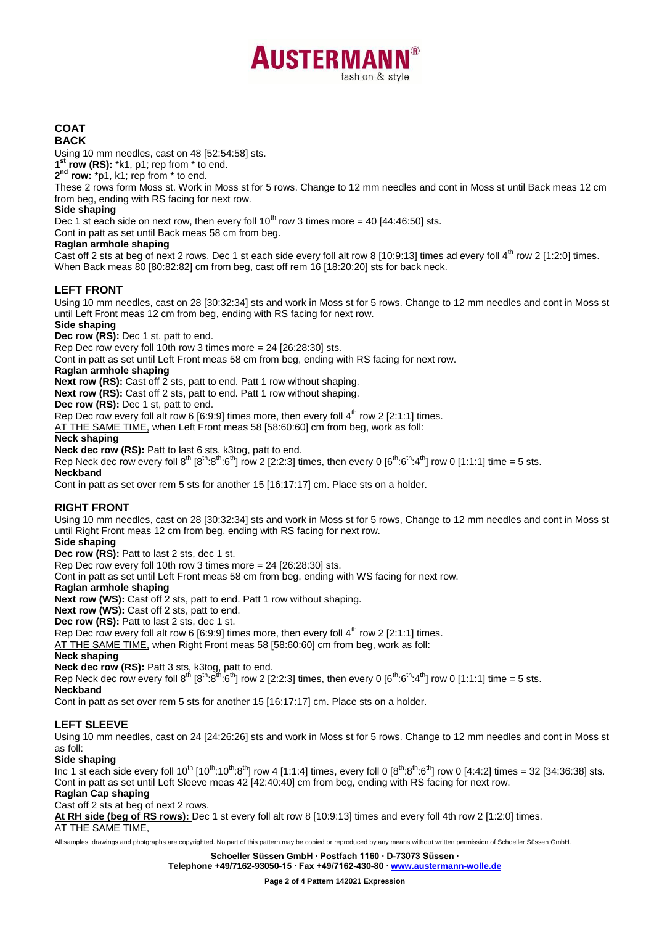# **AUSTERMAN** fashion & style

#### **COAT BACK**

Using 10 mm needles, cast on 48 [52:54:58] sts.

**1 st row (RS):** \*k1, p1; rep from \* to end.

**2 nd row:** \*p1, k1; rep from \* to end.

These 2 rows form Moss st. Work in Moss st for 5 rows. Change to 12 mm needles and cont in Moss st until Back meas 12 cm from beg, ending with RS facing for next row.

# **Side shaping**

Dec 1 st each side on next row, then every foll  $10^{th}$  row 3 times more = 40 [44:46:50] sts.

Cont in patt as set until Back meas 58 cm from beg.

# **Raglan armhole shaping**

Cast off 2 sts at beg of next 2 rows. Dec 1 st each side every foll alt row 8 [10:9:13] times ad every foll  $4<sup>th</sup>$  row 2 [1:2:0] times. When Back meas 80 [80:82:82] cm from beg, cast off rem 16 [18:20:20] sts for back neck.

# **LEFT FRONT**

Using 10 mm needles, cast on 28 [30:32:34] sts and work in Moss st for 5 rows. Change to 12 mm needles and cont in Moss st until Left Front meas 12 cm from beg, ending with RS facing for next row.

**Side shaping**

Dec row (RS): Dec 1 st, patt to end.

Rep Dec row every foll 10th row 3 times more = 24 [26:28:30] sts.

Cont in patt as set until Left Front meas 58 cm from beg, ending with RS facing for next row.

# **Raglan armhole shaping**

**Next row (RS):** Cast off 2 sts, patt to end. Patt 1 row without shaping.

Next row (RS): Cast off 2 sts, patt to end. Patt 1 row without shaping.

**Dec row (RS):** Dec 1 st, patt to end.

Rep Dec row every foll alt row 6 [6:9:9] times more, then every foll  $4<sup>th</sup>$  row 2 [2:1:1] times.

AT THE SAME TIME, when Left Front meas 58 [58:60:60] cm from beg, work as foll:

# **Neck shaping**

**Neck dec row (RS):** Patt to last 6 sts, k3tog, patt to end.

Rep Neck dec row every foll  $8^{th}$   $[8^{th} \cdot 8^{th} \cdot 6^{th}]$  row 2 [2:2:3] times, then every 0  $[6^{th} \cdot 6^{th} \cdot 4^{th}]$  row 0 [1:1:1] time = 5 sts.

# **Neckband**

Cont in patt as set over rem 5 sts for another 15 [16:17:17] cm. Place sts on a holder.

# **RIGHT FRONT**

Using 10 mm needles, cast on 28 [30:32:34] sts and work in Moss st for 5 rows, Change to 12 mm needles and cont in Moss st until Right Front meas 12 cm from beg, ending with RS facing for next row.

**Side shaping**

Dec row (RS): Patt to last 2 sts, dec 1 st.

Rep Dec row every foll 10th row 3 times more = 24 [26:28:30] sts.

Cont in patt as set until Left Front meas 58 cm from beg, ending with WS facing for next row.

# **Raglan armhole shaping**

**Next row (WS):** Cast off 2 sts, patt to end. Patt 1 row without shaping.

**Next row (WS):** Cast off 2 sts, patt to end.

**Dec row (RS):** Patt to last 2 sts, dec 1 st.

Rep Dec row every foll alt row 6 [6:9:9] times more, then every foll  $4<sup>th</sup>$  row 2 [2:1:1] times.

AT THE SAME TIME, when Right Front meas 58 [58:60:60] cm from beg, work as foll:

# **Neck shaping**

**Neck dec row (RS):** Patt 3 sts, k3tog, patt to end.

Rep Neck dec row every foll  $8^{th}$   $[8^{th}\cdot8^{th}\cdot6^{th}]$  row 2 [2:2:3] times, then every 0  $[6^{th}\cdot6^{th}\cdot4^{th}]$  row 0 [1:1:1] time = 5 sts. **Neckband**

Cont in patt as set over rem 5 sts for another 15 [16:17:17] cm. Place sts on a holder.

# **LEFT SLEEVE**

Using 10 mm needles, cast on 24 [24:26:26] sts and work in Moss st for 5 rows. Change to 12 mm needles and cont in Moss st as foll:

# **Side shaping**

Inc 1 st each side every foll 10<sup>th</sup> [10<sup>th</sup>:10<sup>th</sup>:8<sup>th</sup>] row 4 [1:1:4] times, every foll 0 [8<sup>th</sup>:8<sup>th</sup>:8<sup>th</sup>] row 0 [4:4:2] times = 32 [34:36:38] sts. Cont in patt as set until Left Sleeve meas 42 [42:40:40] cm from beg, ending with RS facing for next row.

# **Raglan Cap shaping**

Cast off 2 sts at beg of next 2 rows.

**At RH side (beg of RS rows):** Dec 1 st every foll alt row 8 [10:9:13] times and every foll 4th row 2 [1:2:0] times.

AT THE SAME TIME,

All samples, drawings and photgraphs are copyrighted. No part of this pattern may be copied or reproduced by any means without written permission of Schoeller Süssen GmbH.

**Schoeller Süssen GmbH ∙ Postfach 1160 ∙ D-73073 Süssen ∙**

**Telephone +49/7162-93050-15 ∙ Fax +49/7162-430-80 ∙ [www.austermann-wolle.de](http://www.austermann-wolle.de/)**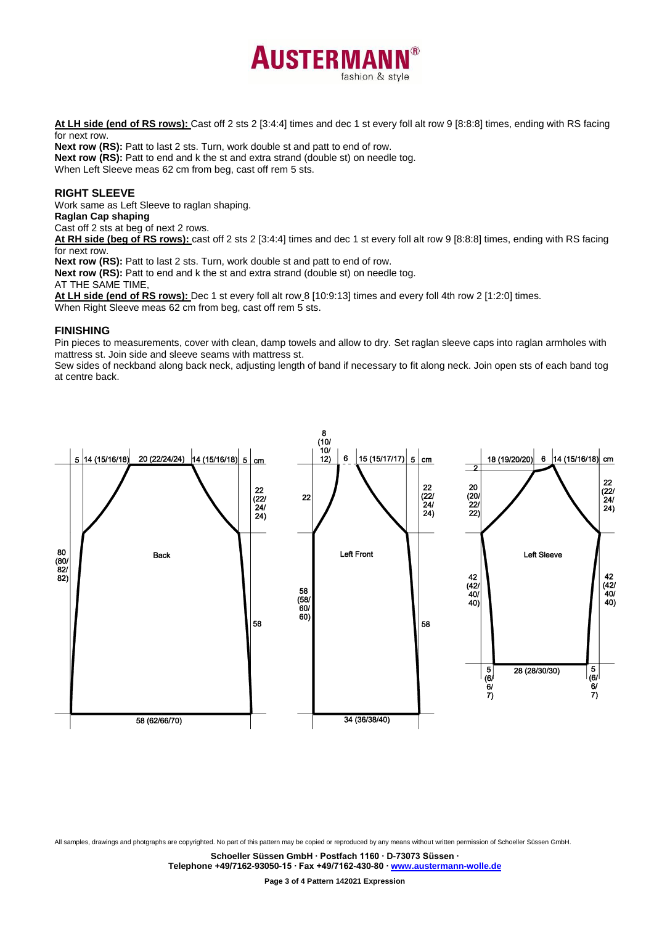

**At LH side (end of RS rows):** Cast off 2 sts 2 [3:4:4] times and dec 1 st every foll alt row 9 [8:8:8] times, ending with RS facing for next row.

**Next row (RS):** Patt to last 2 sts. Turn, work double st and patt to end of row. **Next row (RS):** Patt to end and k the st and extra strand (double st) on needle tog. When Left Sleeve meas 62 cm from beg, cast off rem 5 sts.

#### **RIGHT SLEEVE**

Work same as Left Sleeve to raglan shaping.

**Raglan Cap shaping**

Cast off 2 sts at beg of next 2 rows.

**At RH side (beg of RS rows):** cast off 2 sts 2 [3:4:4] times and dec 1 st every foll alt row 9 [8:8:8] times, ending with RS facing for next row.

**Next row (RS):** Patt to last 2 sts. Turn, work double st and patt to end of row.

**Next row (RS):** Patt to end and k the st and extra strand (double st) on needle tog.

AT THE SAME TIME,

**At LH side (end of RS rows):** Dec 1 st every foll alt row 8 [10:9:13] times and every foll 4th row 2 [1:2:0] times. When Right Sleeve meas 62 cm from beg, cast off rem 5 sts.

#### **FINISHING**

Pin pieces to measurements, cover with clean, damp towels and allow to dry. Set raglan sleeve caps into raglan armholes with mattress st. Join side and sleeve seams with mattress st.

Sew sides of neckband along back neck, adjusting length of band if necessary to fit along neck. Join open sts of each band tog at centre back.



All samples, drawings and photgraphs are copyrighted. No part of this pattern may be copied or reproduced by any means without written permission of Schoeller Süssen GmbH.

**Schoeller Süssen GmbH ∙ Postfach 1160 ∙ D-73073 Süssen ∙**

**Telephone +49/7162-93050-15 ∙ Fax +49/7162-430-80 ∙ [www.austermann-wolle.de](http://www.austermann-wolle.de/)**

**Page 3 of 4 Pattern 142021 Expression**